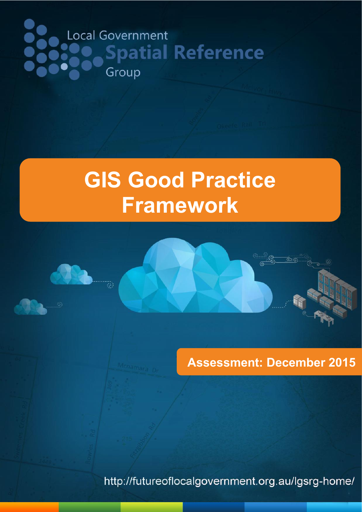# Local Government Spatial Reference Group

Ø)

# **GIS Good Practice Framework**

**Assessment: December 2015**

http://futureoflocalgovernment.org.au/lgsrg-home/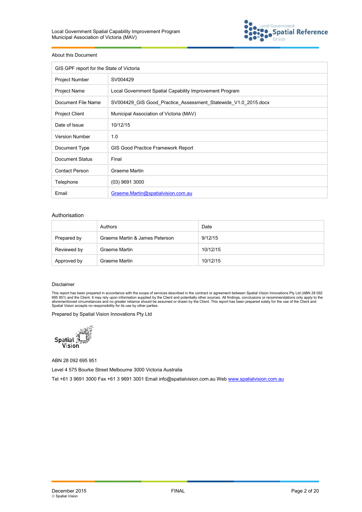

#### About this Document

| GIS GPF report for the State of Victoria |                                                                |
|------------------------------------------|----------------------------------------------------------------|
| <b>Project Number</b>                    | SV004429                                                       |
| <b>Project Name</b>                      | Local Government Spatial Capability Improvement Program        |
| Document File Name                       | SV004429 GIS Good Practice Assessment Statewide V1.0 2015.docx |
| <b>Project Client</b>                    | Municipal Association of Victoria (MAV)                        |
| Date of Issue                            | 10/12/15                                                       |
| <b>Version Number</b>                    | 1.0                                                            |
| Document Type                            | GIS Good Practice Framework Report                             |
| Document Status                          | Final                                                          |
| <b>Contact Person</b>                    | Graeme Martin                                                  |
| Telephone                                | $(03)$ 9691 3000                                               |
| Email                                    | Graeme.Martin@spatialvision.com.au                             |

#### Authorisation

|             | Authors                        | Date     |
|-------------|--------------------------------|----------|
| Prepared by | Graeme Martin & James Peterson | 9/12/15  |
| Reviewed by | Graeme Martin                  | 10/12/15 |
| Approved by | Graeme Martin                  | 10/12/15 |

#### Disclaimer

This report has been prepared in accordance with the scope of services described in the contract or agreement between Spatial Vision Innovations Pty Ltd (ABN 28 092<br>695 951) and the Client. It may rely upon information sup

Prepared by Spatial Vision Innovations Pty Ltd



ABN 28 092 695 951

Level 4 575 Bourke Street Melbourne 3000 Victoria Australia

Tel +61 3 9691 3000 Fax +61 3 9691 3001 Email info@spatialvision.com.au Web www.spatialvision.com.au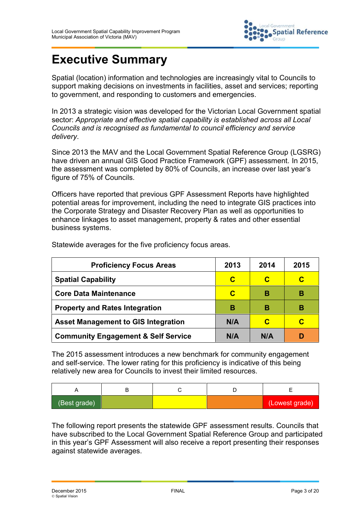

# **Executive Summary**

Spatial (location) information and technologies are increasingly vital to Councils to support making decisions on investments in facilities, asset and services; reporting to government, and responding to customers and emergencies.

In 2013 a strategic vision was developed for the Victorian Local Government spatial sector: *Appropriate and effective spatial capability is established across all Local Councils and is recognised as fundamental to council efficiency and service delivery*.

Since 2013 the MAV and the Local Government Spatial Reference Group (LGSRG) have driven an annual GIS Good Practice Framework (GPF) assessment. In 2015, the assessment was completed by 80% of Councils, an increase over last year's figure of 75% of Councils.

Officers have reported that previous GPF Assessment Reports have highlighted potential areas for improvement, including the need to integrate GIS practices into the Corporate Strategy and Disaster Recovery Plan as well as opportunities to enhance linkages to asset management, property & rates and other essential business systems.

| <b>Proficiency Focus Areas</b>                 | 2013 | 2014 | 2015 |
|------------------------------------------------|------|------|------|
| <b>Spatial Capability</b>                      | C    | C    | C    |
| <b>Core Data Maintenance</b>                   | C    | B    | в    |
| <b>Property and Rates Integration</b>          | в    | в    | в    |
| <b>Asset Management to GIS Integration</b>     | N/A  | C    | C    |
| <b>Community Engagement &amp; Self Service</b> | N/A  | N/A  | D    |

Statewide averages for the five proficiency focus areas.

The 2015 assessment introduces a new benchmark for community engagement and self-service. The lower rating for this proficiency is indicative of this being relatively new area for Councils to invest their limited resources.

| (Best grade) |  | (Lowest grade) |
|--------------|--|----------------|

The following report presents the statewide GPF assessment results. Councils that have subscribed to the Local Government Spatial Reference Group and participated in this year's GPF Assessment will also receive a report presenting their responses against statewide averages.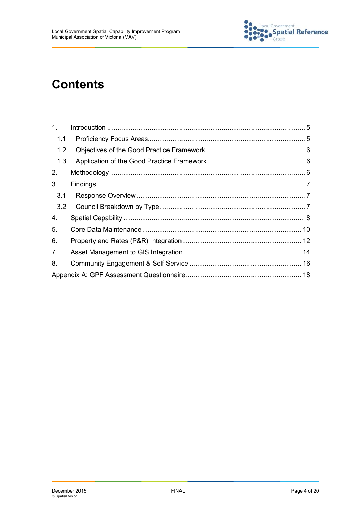

# **Contents**

| $\mathbf{1}$ . |  |
|----------------|--|
| 1.1            |  |
| 1.2            |  |
| 1.3            |  |
| 2.             |  |
| 3.             |  |
| 3.1            |  |
| 3.2            |  |
| 4.             |  |
| 5.             |  |
| 6.             |  |
| 7.             |  |
| 8.             |  |
|                |  |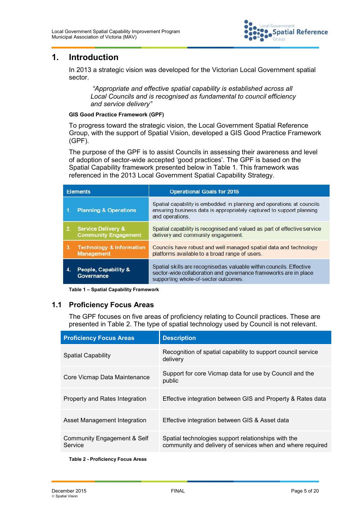

## **1. Introduction**

In 2013 a strategic vision was developed for the Victorian Local Government spatial sector.

*"Appropriate and effective spatial capability is established across all Local Councils and is recognised as fundamental to council efficiency and service delivery"*

#### **GIS Good Practice Framework (GPF)**

To progress toward the strategic vision, the Local Government Spatial Reference Group, with the support of Spatial Vision, developed a GIS Good Practice Framework (GPF).

The purpose of the GPF is to assist Councils in assessing their awareness and level of adoption of sector-wide accepted 'good practices'. The GPF is based on the Spatial Capability framework presented below in Table 1. This framework was referenced in the 2013 Local Government Spatial Capability Strategy.

|     | <b>Elements</b>                                              | <b>Operational Goals for 2015</b>                                                                                                                                                |
|-----|--------------------------------------------------------------|----------------------------------------------------------------------------------------------------------------------------------------------------------------------------------|
| -1. | <b>Planning &amp; Operations</b>                             | Spatial capability is embedded in planning and operations at councils<br>ensuring business data is appropriately captured to support planning<br>and operations.                 |
| 2.  | <b>Service Delivery &amp;</b><br><b>Community Engagement</b> | Spatial capability is recognised and valued as part of effective service<br>delivery and community engagement.                                                                   |
| 3.  | <b>Technology &amp; Information</b><br><b>Management</b>     | Councils have robust and well managed spatial data and technology<br>platforms available to a broad range of users.                                                              |
| 4   | People, Capability &<br>Governance                           | Spatial skills are recognised as valuable within councils. Effective<br>sector-wide collaboration and governance frameworks are in place<br>supporting whole-of-sector outcomes. |

**Table 1 – Spatial Capability Framework**

#### **1.1 Proficiency Focus Areas**

The GPF focuses on five areas of proficiency relating to Council practices. These are presented in Table 2. The type of spatial technology used by Council is not relevant.

| <b>Proficiency Focus Areas</b>         | <b>Description</b>                                                                                                |
|----------------------------------------|-------------------------------------------------------------------------------------------------------------------|
| <b>Spatial Capability</b>              | Recognition of spatial capability to support council service<br>delivery                                          |
| Core Vicmap Data Maintenance           | Support for core Vicmap data for use by Council and the<br>public                                                 |
| Property and Rates Integration         | Effective integration between GIS and Property & Rates data                                                       |
| Asset Management Integration           | Effective integration between GIS & Asset data                                                                    |
| Community Engagement & Self<br>Service | Spatial technologies support relationships with the<br>community and delivery of services when and where required |
|                                        |                                                                                                                   |

**Table 2 - Proficiency Focus Areas**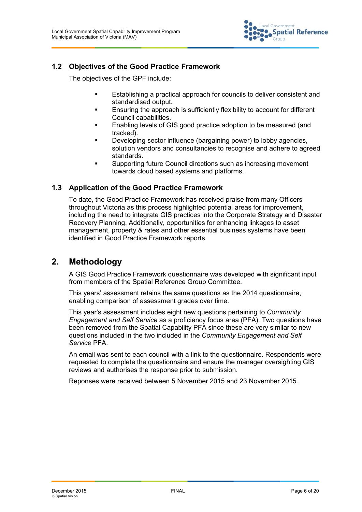

#### **1.2 Objectives of the Good Practice Framework**

The objectives of the GPF include:

- Establishing a practical approach for councils to deliver consistent and standardised output.
- Ensuring the approach is sufficiently flexibility to account for different Council capabilities.
- Enabling levels of GIS good practice adoption to be measured (and tracked).
- Developing sector influence (bargaining power) to lobby agencies, solution vendors and consultancies to recognise and adhere to agreed standards.
- Supporting future Council directions such as increasing movement towards cloud based systems and platforms.

#### **1.3 Application of the Good Practice Framework**

To date, the Good Practice Framework has received praise from many Officers throughout Victoria as this process highlighted potential areas for improvement, including the need to integrate GIS practices into the Corporate Strategy and Disaster Recovery Planning. Additionally, opportunities for enhancing linkages to asset management, property & rates and other essential business systems have been identified in Good Practice Framework reports.

### **2. Methodology**

A GIS Good Practice Framework questionnaire was developed with significant input from members of the Spatial Reference Group Committee.

This years' assessment retains the same questions as the 2014 questionnaire, enabling comparison of assessment grades over time.

This year's assessment includes eight new questions pertaining to *Community Engagement and Self Service* as a proficiency focus area (PFA). Two questions have been removed from the Spatial Capability PFA since these are very similar to new questions included in the two included in the *Community Engagement and Self Service* PFA.

An email was sent to each council with a link to the questionnaire. Respondents were requested to complete the questionnaire and ensure the manager oversighting GIS reviews and authorises the response prior to submission.

Reponses were received between 5 November 2015 and 23 November 2015.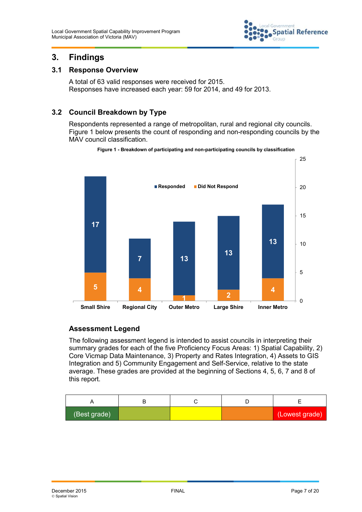

# **3. Findings**

#### **3.1 Response Overview**

A total of 63 valid responses were received for 2015. Responses have increased each year: 59 for 2014, and 49 for 2013.

### **3.2 Council Breakdown by Type**

Respondents represented a range of metropolitan, rural and regional city councils. Figure 1 below presents the count of responding and non-responding councils by the MAV council classification.

#### **Figure 1 - Breakdown of participating and non-participating councils by classification**



#### **Assessment Legend**

The following assessment legend is intended to assist councils in interpreting their summary grades for each of the five Proficiency Focus Areas: 1) Spatial Capability, 2) Core Vicmap Data Maintenance, 3) Property and Rates Integration, 4) Assets to GIS Integration and 5) Community Engagement and Self-Service, relative to the state average. These grades are provided at the beginning of Sections 4, 5, 6, 7 and 8 of this report.

| (Best grade) |  | (Lowest grade) |
|--------------|--|----------------|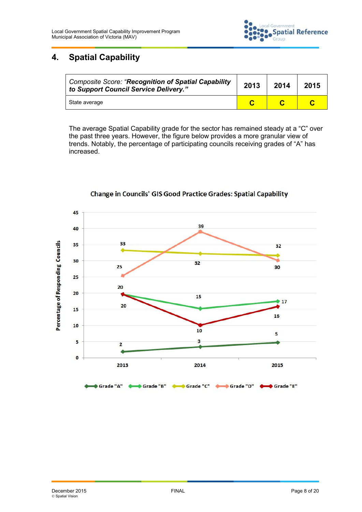

# **4. Spatial Capability**

| Composite Score: "Recognition of Spatial Capability<br>to Support Council Service Delivery." | 2013 | 2014 | 2015 |
|----------------------------------------------------------------------------------------------|------|------|------|
| State average                                                                                |      |      |      |

The average Spatial Capability grade for the sector has remained steady at a "C" over the past three years. However, the figure below provides a more granular view of trends. Notably, the percentage of participating councils receiving grades of "A" has increased.



#### **Change in Councils' GIS Good Practice Grades: Spatial Capability**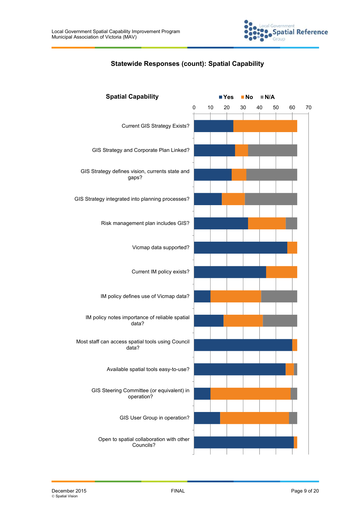

#### **Statewide Responses (count): Spatial Capability**

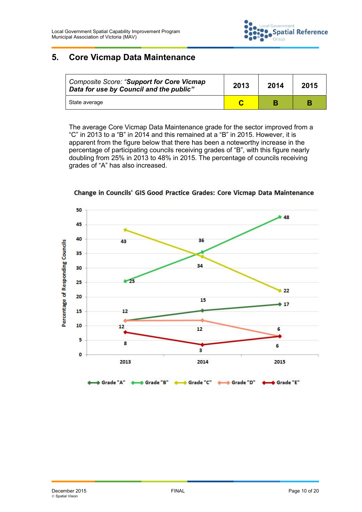

# **5. Core Vicmap Data Maintenance**

| <b>Composite Score: "Support for Core Vicmap</b><br>Data for use by Council and the public" | 2013 | 2014 | 2015 |  |
|---------------------------------------------------------------------------------------------|------|------|------|--|
| State average                                                                               |      |      |      |  |

The average Core Vicmap Data Maintenance grade for the sector improved from a "C" in 2013 to a "B" in 2014 and this remained at a "B" in 2015. However, it is apparent from the figure below that there has been a noteworthy increase in the percentage of participating councils receiving grades of "B", with this figure nearly doubling from 25% in 2013 to 48% in 2015. The percentage of councils receiving grades of "A" has also increased.



Change in Councils' GIS Good Practice Grades: Core Vicmap Data Maintenance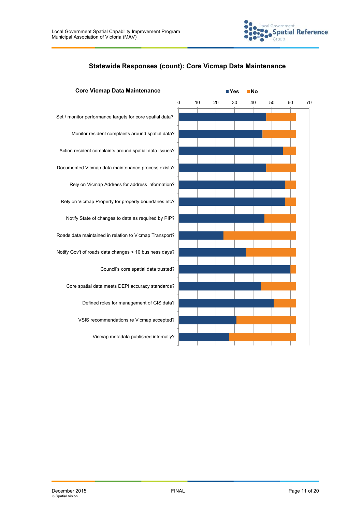

#### **Statewide Responses (count): Core Vicmap Data Maintenance**

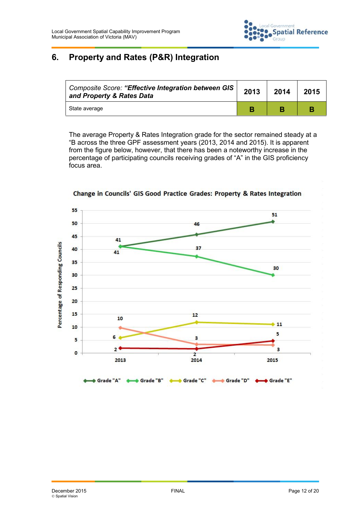

# **6. Property and Rates (P&R) Integration**

| Composite Score: "Effective Integration between GIS  <br>and Property & Rates Data | 2013 | 2014 | 2015 |
|------------------------------------------------------------------------------------|------|------|------|
| State average                                                                      |      |      |      |

The average Property & Rates Integration grade for the sector remained steady at a "B across the three GPF assessment years (2013, 2014 and 2015). It is apparent from the figure below, however, that there has been a noteworthy increase in the percentage of participating councils receiving grades of "A" in the GIS proficiency focus area.



Change in Councils' GIS Good Practice Grades: Property & Rates Integration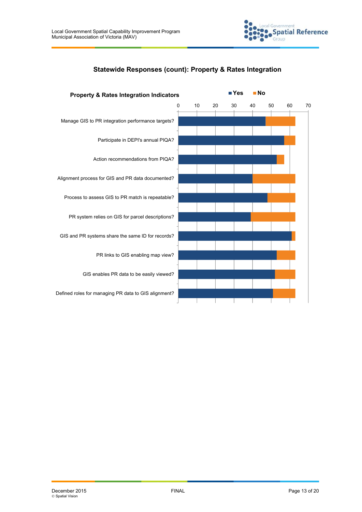

Government

iroup

**Spatial Reference** 

Defined roles for managing PR data to GIS alignment?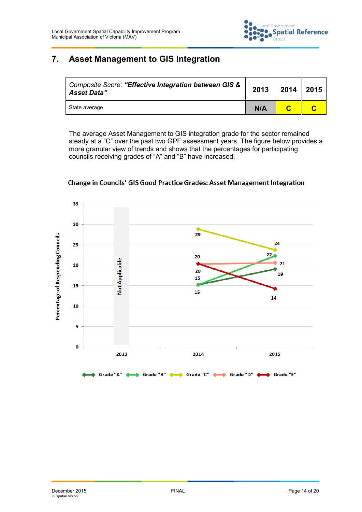

# **7. Asset Management to GIS Integration**

| <b>Composite Score: "Effective Integration between GIS &amp;</b><br><b>Asset Data"</b> | 2013 | 2014 | 2015 |
|----------------------------------------------------------------------------------------|------|------|------|
| State average                                                                          | N/A  |      |      |

The average Asset Management to GIS integration grade for the sector remained steady at a "C" over the past two GPF assessment years. The figure below provides a more granular view of trends and shows that the percentages for participating councils receiving grades of "A" and "B"have increased.



#### Change in Councils' GIS Good Practice Grades: Asset Management Integration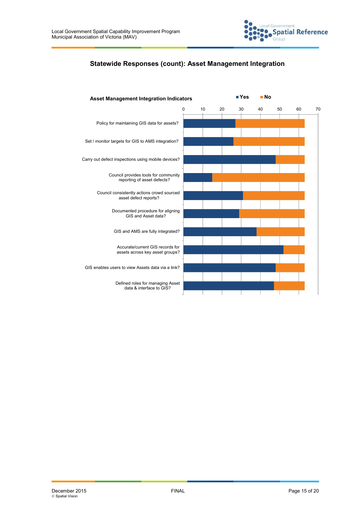

#### **Statewide Responses (count): Asset Management Integration**

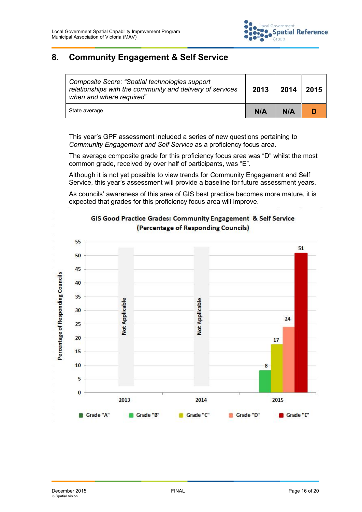

# **8. Community Engagement & Self Service**

| Composite Score: "Spatial technologies support"<br>relationships with the community and delivery of services<br>when and where required" | 2013 | 2014 | 2015 |
|------------------------------------------------------------------------------------------------------------------------------------------|------|------|------|
| State average                                                                                                                            | N/A  | N/A  |      |

This year's GPF assessment included a series of new questions pertaining to *Community Engagement and Self Service* as a proficiency focus area.

The average composite grade for this proficiency focus area was "D" whilst the most common grade, received by over half of participants, was "E".

Although it is not yet possible to view trends for Community Engagement and Self Service, this year's assessment will provide a baseline for future assessment years.

As councils' awareness of this area of GIS best practice becomes more mature, it is expected that grades for this proficiency focus area will improve.



#### GIS Good Practice Grades: Community Engagement & Self Service (Percentage of Responding Councils)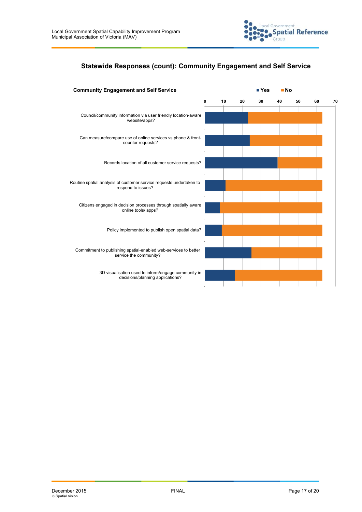

#### **Statewide Responses (count): Community Engagement and Self Service**

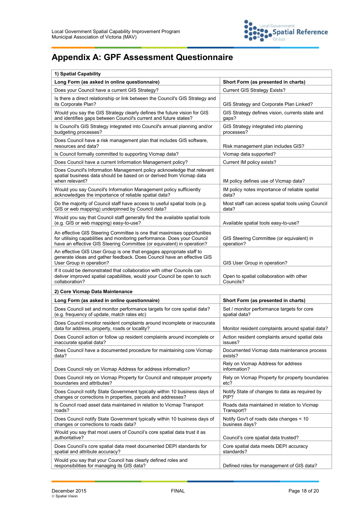

# **Appendix A: GPF Assessment Questionnaire**

| 1) Spatial Capability                                                                                                                                                                                                         |                                                             |  |
|-------------------------------------------------------------------------------------------------------------------------------------------------------------------------------------------------------------------------------|-------------------------------------------------------------|--|
| Long Form (as asked in online questionnaire)                                                                                                                                                                                  | Short Form (as presented in charts)                         |  |
| Does your Council have a current GIS Strategy?                                                                                                                                                                                | <b>Current GIS Strategy Exists?</b>                         |  |
| Is there a direct relationship or link between the Council's GIS Strategy and<br>its Corporate Plan?                                                                                                                          | GIS Strategy and Corporate Plan Linked?                     |  |
| Would you say the GIS Strategy clearly defines the future vision for GIS<br>and identifies gaps between Council's current and future states?                                                                                  | GIS Strategy defines vision, currents state and<br>gaps?    |  |
| Is Council's GIS Strategy integrated into Council's annual planning and/or<br>budgeting processes?                                                                                                                            | GIS Strategy integrated into planning<br>processes?         |  |
| Does Council have a risk management plan that includes GIS software,<br>resources and data?                                                                                                                                   | Risk management plan includes GIS?                          |  |
| Is Council formally committed to supporting Vicmap data?                                                                                                                                                                      | Vicmap data supported?                                      |  |
| Does Council have a current Information Management policy?                                                                                                                                                                    | Current IM policy exists?                                   |  |
| Does Council's Information Management policy acknowledge that relevant<br>spatial business data should be based on or derived from Vicmap data<br>when relevant?                                                              | IM policy defines use of Vicmap data?                       |  |
| Would you say Council's Information Management policy sufficiently<br>acknowledges the importance of reliable spatial data?                                                                                                   | IM policy notes importance of reliable spatial<br>data?     |  |
| Do the majority of Council staff have access to useful spatial tools (e.g.<br>GIS or web mapping) underpinned by Council data?                                                                                                | Most staff can access spatial tools using Council<br>data?  |  |
| Would you say that Council staff generally find the available spatial tools<br>(e.g. GIS or web mapping) easy-to-use?                                                                                                         | Available spatial tools easy-to-use?                        |  |
| An effective GIS Steering Committee is one that maximises opportunities<br>for utilising capabilities and monitoring performance. Does your Council<br>have an effective GIS Steering Committee (or equivalent) in operation? | GIS Steering Committee (or equivalent) in<br>operation?     |  |
| An effective GIS User Group is one that engages appropriate staff to<br>generate ideas and gather feedback. Does Council have an effective GIS<br>User Group in operation?                                                    | GIS User Group in operation?                                |  |
| If it could be demonstrated that collaboration with other Councils can<br>deliver improved spatial capabilities, would your Council be open to such<br>collaboration?                                                         | Open to spatial collaboration with other<br>Councils?       |  |
| 2) Core Vicmap Data Maintenance                                                                                                                                                                                               |                                                             |  |
| Long Form (as asked in online questionnaire)                                                                                                                                                                                  | Short Form (as presented in charts)                         |  |
| Does Council set and monitor performance targets for core spatial data?<br>(e.g. frequency of update, match rates etc)                                                                                                        | Set / monitor performance targets for core<br>spatial data? |  |
| Does Council monitor resident complaints around incomplete or inaccurate<br>data for address, property, roads or locality?                                                                                                    | Monitor resident complaints around spatial data?            |  |
| Does Council action or follow up resident complaints around incomplete or<br>inaccurate spatial data?                                                                                                                         | Action resident complaints around spatial data<br>issues?   |  |
| Does Council have a documented procedure for maintaining core Vicmap<br>data?                                                                                                                                                 | Documented Vicmap data maintenance process<br>exists?       |  |
| Does Council rely on Vicmap Address for address information?                                                                                                                                                                  | Rely on Vicmap Address for address<br>information?          |  |
| Does Council rely on Vicmap Property for Council and ratepayer property<br>boundaries and attributes?                                                                                                                         | Rely on Vicmap Property for property boundaries<br>etc?     |  |
| Does Council notify State Government typically within 10 business days of<br>changes or corrections in properties, parcels and addresses?                                                                                     | Notify State of changes to data as required by<br>PIP?      |  |
| Is Council road asset data maintained in relation to Vicmap Transport<br>roads?                                                                                                                                               | Roads data maintained in relation to Vicmap<br>Transport?   |  |
| Does Council notify State Government typically within 10 business days of<br>changes or corrections to roads data?                                                                                                            | Notify Gov't of roads data changes < 10<br>business days?   |  |
| Would you say that most users of Council's core spatial data trust it as<br>authoritative?                                                                                                                                    | Council's core spatial data trusted?                        |  |
| Does Council's core spatial data meet documented DEPI standards for<br>spatial and attribute accuracy?                                                                                                                        | Core spatial data meets DEPI accuracy<br>standards?         |  |
| Would you say that your Council has clearly defined roles and<br>responsibilities for managing its GIS data?                                                                                                                  | Defined roles for management of GIS data?                   |  |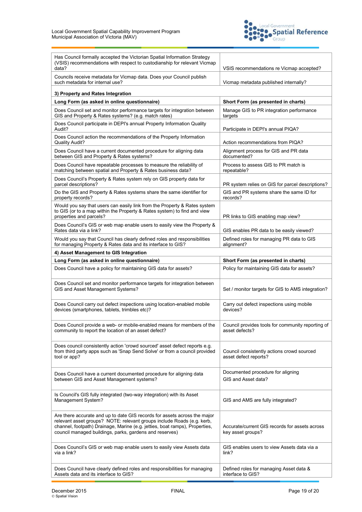

| Has Council formally accepted the Victorian Spatial Information Strategy<br>(VSIS) recommendations with respect to custodianship for relevant Vicmap<br>data?                                                                                                                                 | VSIS recommendations re Vicmap accepted?                            |
|-----------------------------------------------------------------------------------------------------------------------------------------------------------------------------------------------------------------------------------------------------------------------------------------------|---------------------------------------------------------------------|
| Councils receive metadata for Vicmap data. Does your Council publish<br>such metadata for internal use?                                                                                                                                                                                       | Vicmap metadata published internally?                               |
| 3) Property and Rates Integration                                                                                                                                                                                                                                                             |                                                                     |
| Long Form (as asked in online questionnaire)                                                                                                                                                                                                                                                  | Short Form (as presented in charts)                                 |
| Does Council set and monitor performance targets for integration between<br>GIS and Property & Rates systems? (e.g. match rates)                                                                                                                                                              | Manage GIS to PR integration performance<br>targets                 |
| Does Council participate in DEPI's annual Property Information Quality<br>Audit?                                                                                                                                                                                                              | Participate in DEPI's annual PIQA?                                  |
| Does Council action the recommendations of the Property Information<br><b>Quality Audit?</b>                                                                                                                                                                                                  | Action recommendations from PIQA?                                   |
| Does Council have a current documented procedure for aligning data<br>between GIS and Property & Rates systems?                                                                                                                                                                               | Alignment process for GIS and PR data<br>documented?                |
| Does Council have repeatable processes to measure the reliability of<br>matching between spatial and Property & Rates business data?                                                                                                                                                          | Process to assess GIS to PR match is<br>repeatable?                 |
| Does Council's Property & Rates system rely on GIS property data for<br>parcel descriptions?                                                                                                                                                                                                  | PR system relies on GIS for parcel descriptions?                    |
| Do the GIS and Property & Rates systems share the same identifier for<br>property records?                                                                                                                                                                                                    | GIS and PR systems share the same ID for<br>records?                |
| Would you say that users can easily link from the Property & Rates system<br>to GIS (or to a map within the Property & Rates system) to find and view<br>properties and parcels?                                                                                                              | PR links to GIS enabling map view?                                  |
| Does Council's GIS or web map enable users to easily view the Property &<br>Rates data via a link?                                                                                                                                                                                            | GIS enables PR data to be easily viewed?                            |
| Would you say that Council has clearly defined roles and responsibilities<br>for managing Property & Rates data and its interface to GIS?                                                                                                                                                     | Defined roles for managing PR data to GIS<br>alignment?             |
| 4) Asset Management to GIS Integration                                                                                                                                                                                                                                                        |                                                                     |
| Long Form (as asked in online questionnaire)                                                                                                                                                                                                                                                  | Short Form (as presented in charts)                                 |
|                                                                                                                                                                                                                                                                                               |                                                                     |
| Does Council have a policy for maintaining GIS data for assets?                                                                                                                                                                                                                               | Policy for maintaining GIS data for assets?                         |
| Does Council set and monitor performance targets for integration between<br>GIS and Asset Management Systems?                                                                                                                                                                                 | Set / monitor targets for GIS to AMS integration?                   |
| Does Council carry out defect inspections using location-enabled mobile<br>devices (smartphones, tablets, trimbles etc)?                                                                                                                                                                      | Carry out defect inspections using mobile<br>devices?               |
| Does Council provide a web- or mobile-enabled means for members of the<br>community to report the location of an asset defect?                                                                                                                                                                | Council provides tools for community reporting of<br>asset defects? |
| Does council consistently action 'crowd sourced' asset defect reports e.g.<br>from third party apps such as 'Snap Send Solve' or from a council provided<br>tool or app?                                                                                                                      | Council consistently actions crowd sourced<br>asset defect reports? |
| Does Council have a current documented procedure for aligning data<br>between GIS and Asset Management systems?                                                                                                                                                                               | Documented procedure for aligning<br>GIS and Asset data?            |
| Is Council's GIS fully integrated (two-way integration) with its Asset<br>Management System?                                                                                                                                                                                                  | GIS and AMS are fully integrated?                                   |
| Are there accurate and up to date GIS records for assets across the major<br>relevant asset groups? NOTE: relevant groups include Roads (e.g. kerb,<br>channel, footpath) Drainage, Marine (e.g. jetties, boat ramps), Properties,<br>council managed buildings, parks, gardens and reserves) | Accurate/current GIS records for assets across<br>key asset groups? |
| Does Council's GIS or web map enable users to easily view Assets data<br>via a link?                                                                                                                                                                                                          | GIS enables users to view Assets data via a<br>link?                |